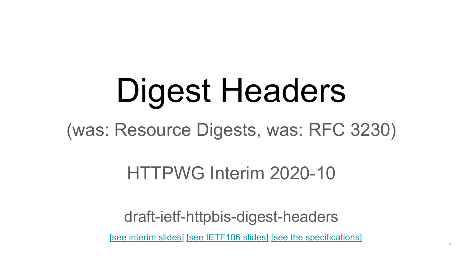# Digest Headers

(was: Resource Digests, was: RFC 3230)

HTTPWG Interim 2020-10

draft-ietf-httpbis-digest-headers

[\[see interim slides](https://docs.google.com/presentation/d/1WcVbksVaJfi18zhbPfqIK-sifSJ_W3GspvhnJDkjhHM/edit#slide=id.g57aa6c5b98_0_12)] [\[see IETF106 slides\]](https://docs.google.com/presentation/d/1eb_Q-7pXS0gS3KDJ_vuORCQ6jD7M4i05g7kvduQbW8g/edit#slide=id.p) [\[see the specifications\]](https://httpwg.org/http-extensions/draft-ietf-httpbis-digest-headers.html)

1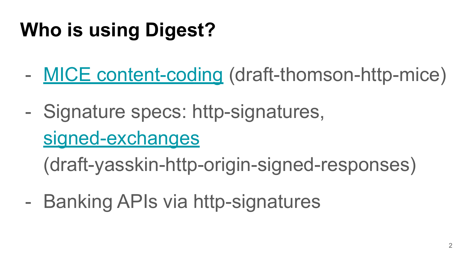## **Who is using Digest?**

- [MICE content-coding](https://github.com/martinthomson/http-mice/blob/master/draft-thomson-http-mice.md) (draft-thomson-http-mice)
- Signature specs: http-signatures,

## [signed-exchanges](https://tools.ietf.org/html/draft-yasskin-http-origin-signed-responses-08)

(draft-yasskin-http-origin-signed-responses)

- Banking APIs via http-signatures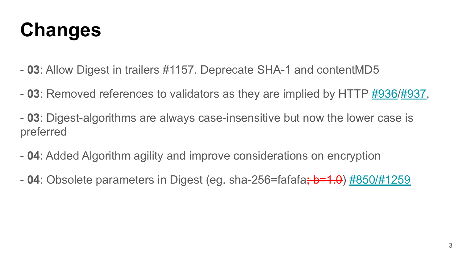### **Changes**

- **03**: Allow Digest in trailers #1157. Deprecate SHA-1 and contentMD5
- **03**: Removed references to validators as they are implied by HTTP [#936](https://github.com/httpwg/http-extensions/issues/936)[/#937](https://github.com/httpwg/http-extensions/pull/937),
- **03**: Digest-algorithms are always case-insensitive but now the lower case is preferred
- **04**: Added Algorithm agility and improve considerations on encryption
- **04**: Obsolete parameters in Digest (eg. sha-256=fafafa<del>; b=1.0</del>) [#850/#1259](https://github.com/httpwg/http-extensions/pull/1259)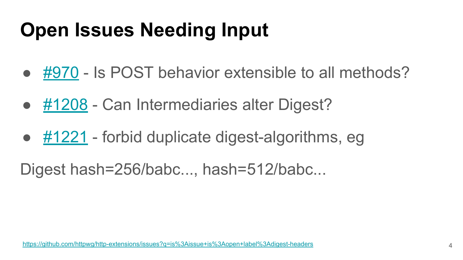## **Open Issues Needing Input**

- [#970](https://github.com/httpwg/http-extensions/issues/970)  Is POST behavior extensible to all methods?
- [#1208](https://github.com/httpwg/http-extensions/issues/1208)  Can Intermediaries alter Digest?
- $#1221$  forbid duplicate digest-algorithms, eg
- Digest hash=256/babc..., hash=512/babc...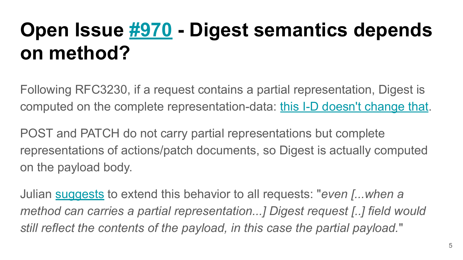## **Open Issue [#970](https://github.com/httpwg/http-extensions/issues/970) - Digest semantics depends on method?**

Following RFC3230, if a request contains a partial representation, Digest is computed on the complete representation-data: [this I-D doesn't change that](https://github.com/httpwg/http-extensions/blob/master/draft-ietf-httpbis-digest-headers.md#representation-digest-representation-digest).

POST and PATCH do not carry partial representations but complete representations of actions/patch documents, so Digest is actually computed on the payload body.

Julian [suggests](https://github.com/httpwg/http-extensions/pull/1248#issuecomment-675403984) to extend this behavior to all requests: "*even [...when a method can carries a partial representation...] Digest request [..] field would still reflect the contents of the payload, in this case the partial payload.*"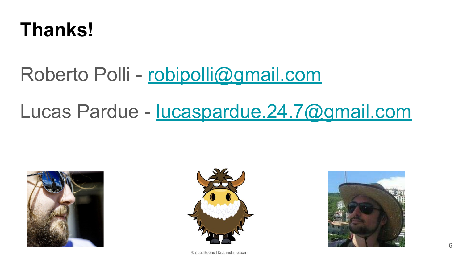#### **Thanks!**

#### Roberto Polli - [robipolli@gmail.com](mailto:robipolli@gmail.com)

#### Lucas Pardue - [lucaspardue.24.7@gmail.com](mailto:lucaspardue.24.7@gmail.com)







© rjccartoons | Dreamstime.com